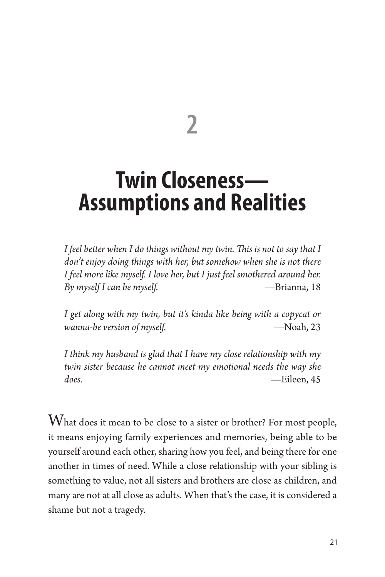**2**

# **Twin Closeness— Assumptions and Realities**

*I feel better when I do things without my twin. This is not to say that I don't enjoy doing things with her, but somehow when she is not there I feel more like myself. I love her, but I just feel smothered around her. By myself I can be myself.* —Brianna, 18

*I get along with my twin, but it's kinda like being with a copycat or wanna-be version of myself.*  $\qquad -N$ Oah, 23

*I think my husband is glad that I have my close relationship with my twin sister because he cannot meet my emotional needs the way she does.* —Eileen, 45

What does it mean to be close to a sister or brother? For most people, it means enjoying family experiences and memories, being able to be yourself around each other, sharing how you feel, and being there for one another in times of need. While a close relationship with your sibling is something to value, not all sisters and brothers are close as children, and many are not at all close as adults. When that's the case, it is considered a shame but not a tragedy.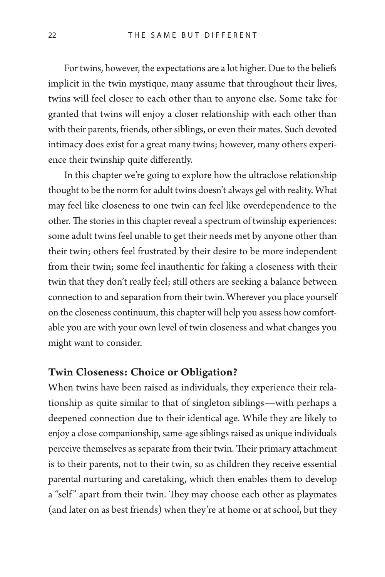For twins, however, the expectations are a lot higher. Due to the beliefs implicit in the twin mystique, many assume that throughout their lives, twins will feel closer to each other than to anyone else. Some take for granted that twins will enjoy a closer relationship with each other than with their parents, friends, other siblings, or even their mates. Such devoted intimacy does exist for a great many twins; however, many others experience their twinship quite differently.

In this chapter we're going to explore how the ultraclose relationship thought to be the norm for adult twins doesn't always gel with reality. What may feel like closeness to one twin can feel like overdependence to the other. The stories in this chapter reveal a spectrum of twinship experiences: some adult twins feel unable to get their needs met by anyone other than their twin; others feel frustrated by their desire to be more independent from their twin; some feel inauthentic for faking a closeness with their twin that they don't really feel; still others are seeking a balance between connection to and separation from their twin. Wherever you place yourself on the closeness continuum, this chapter will help you assess how comfortable you are with your own level of twin closeness and what changes you might want to consider.

## Twin Closeness: Choice or Obligation?

When twins have been raised as individuals, they experience their relationship as quite similar to that of singleton siblings—with perhaps a deepened connection due to their identical age. While they are likely to enjoy a close companionship, same-age siblings raised as unique individuals perceive themselves as separate from their twin. Their primary attachment is to their parents, not to their twin, so as children they receive essential parental nurturing and caretaking, which then enables them to develop a "self" apart from their twin. They may choose each other as playmates (and later on as best friends) when they're at home or at school, but they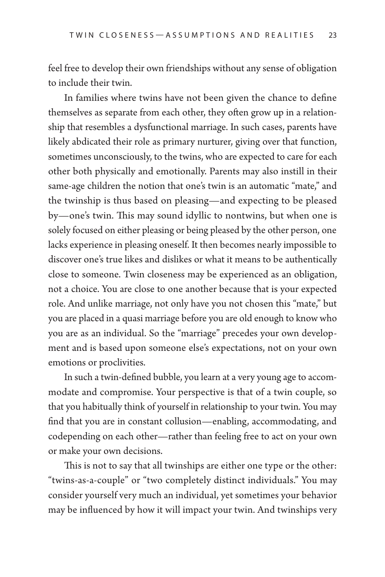feel free to develop their own friendships without any sense of obligation to include their twin.

In families where twins have not been given the chance to define themselves as separate from each other, they often grow up in a relationship that resembles a dysfunctional marriage. In such cases, parents have likely abdicated their role as primary nurturer, giving over that function, sometimes unconsciously, to the twins, who are expected to care for each other both physically and emotionally. Parents may also instill in their same-age children the notion that one's twin is an automatic "mate," and the twinship is thus based on pleasing—and expecting to be pleased by—one's twin. This may sound idyllic to nontwins, but when one is solely focused on either pleasing or being pleased by the other person, one lacks experience in pleasing oneself. It then becomes nearly impossible to discover one's true likes and dislikes or what it means to be authentically close to someone. Twin closeness may be experienced as an obligation, not a choice. You are close to one another because that is your expected role. And unlike marriage, not only have you not chosen this "mate," but you are placed in a quasi marriage before you are old enough to know who you are as an individual. So the "marriage" precedes your own development and is based upon someone else's expectations, not on your own emotions or proclivities.

In such a twin-defined bubble, you learn at a very young age to accommodate and compromise. Your perspective is that of a twin couple, so that you habitually think of yourself in relationship to your twin. You may find that you are in constant collusion—enabling, accommodating, and codepending on each other—rather than feeling free to act on your own or make your own decisions.

This is not to say that all twinships are either one type or the other: "twins-as-a-couple" or "two completely distinct individuals." You may consider yourself very much an individual, yet sometimes your behavior may be influenced by how it will impact your twin. And twinships very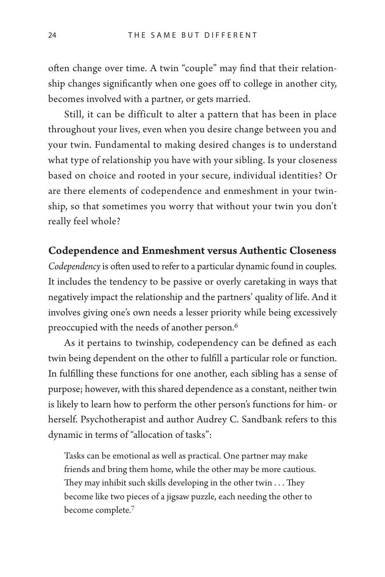often change over time. A twin "couple" may find that their relationship changes significantly when one goes off to college in another city, becomes involved with a partner, or gets married.

Still, it can be difficult to alter a pattern that has been in place throughout your lives, even when you desire change between you and your twin. Fundamental to making desired changes is to understand what type of relationship you have with your sibling. Is your closeness based on choice and rooted in your secure, individual identities? Or are there elements of codependence and enmeshment in your twinship, so that sometimes you worry that without your twin you don't really feel whole?

# Codependence and Enmeshment versus Authentic Closeness

*Codependency* is often used to refer to a particular dynamic found in couples. It includes the tendency to be passive or overly caretaking in ways that negatively impact the relationship and the partners' quality of life. And it involves giving one's own needs a lesser priority while being excessively preoccupied with the needs of another person.6

As it pertains to twinship, codependency can be defined as each twin being dependent on the other to fulfill a particular role or function. In fulfilling these functions for one another, each sibling has a sense of purpose; however, with this shared dependence as a constant, neither twin is likely to learn how to perform the other person's functions for him- or herself. Psychotherapist and author Audrey C. Sandbank refers to this dynamic in terms of "allocation of tasks":

Tasks can be emotional as well as practical. One partner may make friends and bring them home, while the other may be more cautious. They may inhibit such skills developing in the other twin . . . They become like two pieces of a jigsaw puzzle, each needing the other to become complete.7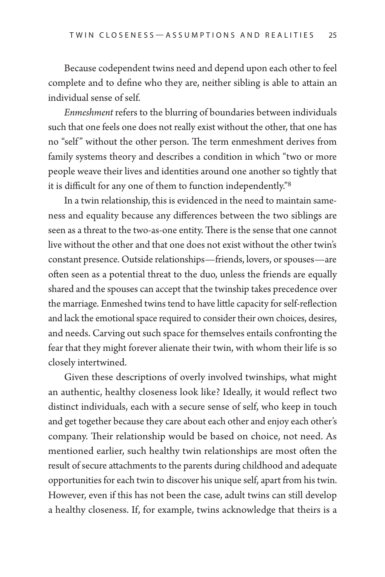Because codependent twins need and depend upon each other to feel complete and to define who they are, neither sibling is able to attain an individual sense of self.

*Enmeshment* refers to the blurring of boundaries between individuals such that one feels one does not really exist without the other, that one has no "self" without the other person. The term enmeshment derives from family systems theory and describes a condition in which "two or more people weave their lives and identities around one another so tightly that it is difficult for any one of them to function independently."8

In a twin relationship, this is evidenced in the need to maintain sameness and equality because any differences between the two siblings are seen as a threat to the two-as-one entity. There is the sense that one cannot live without the other and that one does not exist without the other twin's constant presence. Outside relationships—friends, lovers, or spouses—are often seen as a potential threat to the duo, unless the friends are equally shared and the spouses can accept that the twinship takes precedence over the marriage. Enmeshed twins tend to have little capacity for self-reflection and lack the emotional space required to consider their own choices, desires, and needs. Carving out such space for themselves entails confronting the fear that they might forever alienate their twin, with whom their life is so closely intertwined.

Given these descriptions of overly involved twinships, what might an authentic, healthy closeness look like? Ideally, it would reflect two distinct individuals, each with a secure sense of self, who keep in touch and get together because they care about each other and enjoy each other's company. Their relationship would be based on choice, not need. As mentioned earlier, such healthy twin relationships are most often the result of secure attachments to the parents during childhood and adequate opportunities for each twin to discover his unique self, apart from his twin. However, even if this has not been the case, adult twins can still develop a healthy closeness. If, for example, twins acknowledge that theirs is a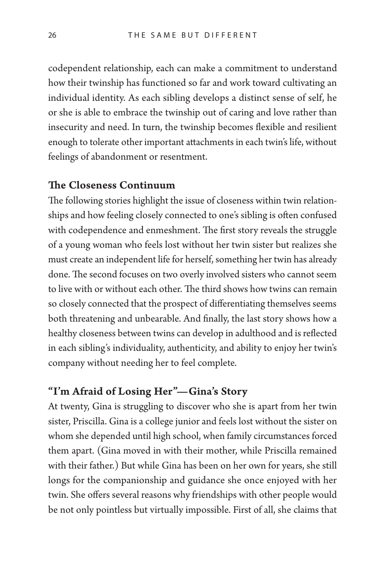codependent relationship, each can make a commitment to understand how their twinship has functioned so far and work toward cultivating an individual identity. As each sibling develops a distinct sense of self, he or she is able to embrace the twinship out of caring and love rather than insecurity and need. In turn, the twinship becomes flexible and resilient enough to tolerate other important attachments in each twin's life, without feelings of abandonment or resentment.

#### The Closeness Continuum

The following stories highlight the issue of closeness within twin relationships and how feeling closely connected to one's sibling is often confused with codependence and enmeshment. The first story reveals the struggle of a young woman who feels lost without her twin sister but realizes she must create an independent life for herself, something her twin has already done. The second focuses on two overly involved sisters who cannot seem to live with or without each other. The third shows how twins can remain so closely connected that the prospect of differentiating themselves seems both threatening and unbearable. And finally, the last story shows how a healthy closeness between twins can develop in adulthood and is reflected in each sibling's individuality, authenticity, and ability to enjoy her twin's company without needing her to feel complete.

# "I'm Afraid of Losing Her"—Gina's Story

At twenty, Gina is struggling to discover who she is apart from her twin sister, Priscilla. Gina is a college junior and feels lost without the sister on whom she depended until high school, when family circumstances forced them apart. (Gina moved in with their mother, while Priscilla remained with their father.) But while Gina has been on her own for years, she still longs for the companionship and guidance she once enjoyed with her twin. She offers several reasons why friendships with other people would be not only pointless but virtually impossible. First of all, she claims that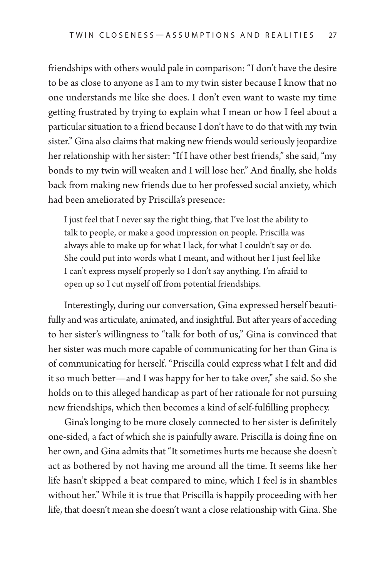friendships with others would pale in comparison: "I don't have the desire to be as close to anyone as I am to my twin sister because I know that no one understands me like she does. I don't even want to waste my time getting frustrated by trying to explain what I mean or how I feel about a particular situation to a friend because I don't have to do that with my twin sister." Gina also claims that making new friends would seriously jeopardize her relationship with her sister: "If I have other best friends," she said, "my bonds to my twin will weaken and I will lose her." And finally, she holds back from making new friends due to her professed social anxiety, which had been ameliorated by Priscilla's presence:

I just feel that I never say the right thing, that I've lost the ability to talk to people, or make a good impression on people. Priscilla was always able to make up for what I lack, for what I couldn't say or do. She could put into words what I meant, and without her I just feel like I can't express myself properly so I don't say anything. I'm afraid to open up so I cut myself off from potential friendships.

Interestingly, during our conversation, Gina expressed herself beautifully and was articulate, animated, and insightful. But after years of acceding to her sister's willingness to "talk for both of us," Gina is convinced that her sister was much more capable of communicating for her than Gina is of communicating for herself. "Priscilla could express what I felt and did it so much better—and I was happy for her to take over," she said. So she holds on to this alleged handicap as part of her rationale for not pursuing new friendships, which then becomes a kind of self-fulfilling prophecy.

Gina's longing to be more closely connected to her sister is definitely one-sided, a fact of which she is painfully aware. Priscilla is doing fine on her own, and Gina admits that "It sometimes hurts me because she doesn't act as bothered by not having me around all the time. It seems like her life hasn't skipped a beat compared to mine, which I feel is in shambles without her." While it is true that Priscilla is happily proceeding with her life, that doesn't mean she doesn't want a close relationship with Gina. She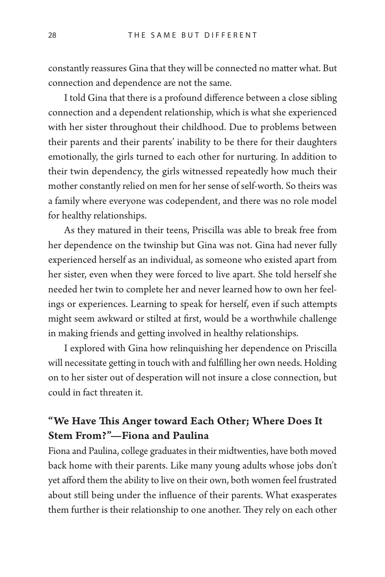constantly reassures Gina that they will be connected no matter what. But connection and dependence are not the same.

I told Gina that there is a profound difference between a close sibling connection and a dependent relationship, which is what she experienced with her sister throughout their childhood. Due to problems between their parents and their parents' inability to be there for their daughters emotionally, the girls turned to each other for nurturing. In addition to their twin dependency, the girls witnessed repeatedly how much their mother constantly relied on men for her sense of self-worth. So theirs was a family where everyone was codependent, and there was no role model for healthy relationships.

As they matured in their teens, Priscilla was able to break free from her dependence on the twinship but Gina was not. Gina had never fully experienced herself as an individual, as someone who existed apart from her sister, even when they were forced to live apart. She told herself she needed her twin to complete her and never learned how to own her feelings or experiences. Learning to speak for herself, even if such attempts might seem awkward or stilted at first, would be a worthwhile challenge in making friends and getting involved in healthy relationships.

I explored with Gina how relinquishing her dependence on Priscilla will necessitate getting in touch with and fulfilling her own needs. Holding on to her sister out of desperation will not insure a close connection, but could in fact threaten it.

# "We Have This Anger toward Each Other; Where Does It Stem From?"—Fiona and Paulina

Fiona and Paulina, college graduates in their midtwenties, have both moved back home with their parents. Like many young adults whose jobs don't yet afford them the ability to live on their own, both women feel frustrated about still being under the influence of their parents. What exasperates them further is their relationship to one another. They rely on each other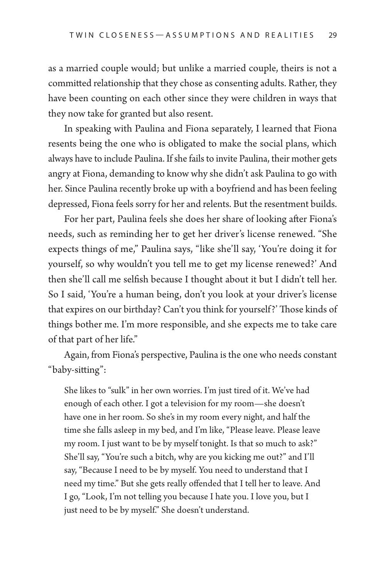as a married couple would; but unlike a married couple, theirs is not a committed relationship that they chose as consenting adults. Rather, they have been counting on each other since they were children in ways that they now take for granted but also resent.

In speaking with Paulina and Fiona separately, I learned that Fiona resents being the one who is obligated to make the social plans, which always have to include Paulina. If she fails to invite Paulina, their mother gets angry at Fiona, demanding to know why she didn't ask Paulina to go with her. Since Paulina recently broke up with a boyfriend and has been feeling depressed, Fiona feels sorry for her and relents. But the resentment builds.

For her part, Paulina feels she does her share of looking after Fiona's needs, such as reminding her to get her driver's license renewed. "She expects things of me," Paulina says, "like she'll say, 'You're doing it for yourself, so why wouldn't you tell me to get my license renewed?' And then she'll call me selfish because I thought about it but I didn't tell her. So I said, 'You're a human being, don't you look at your driver's license that expires on our birthday? Can't you think for yourself?' Those kinds of things bother me. I'm more responsible, and she expects me to take care of that part of her life."

Again, from Fiona's perspective, Paulina is the one who needs constant "baby-sitting":

She likes to "sulk" in her own worries. I'm just tired of it. We've had enough of each other. I got a television for my room—she doesn't have one in her room. So she's in my room every night, and half the time she falls asleep in my bed, and I'm like, "Please leave. Please leave my room. I just want to be by myself tonight. Is that so much to ask?" She'll say, "You're such a bitch, why are you kicking me out?" and I'll say, "Because I need to be by myself. You need to understand that I need my time." But she gets really offended that I tell her to leave. And I go, "Look, I'm not telling you because I hate you. I love you, but I just need to be by myself." She doesn't understand.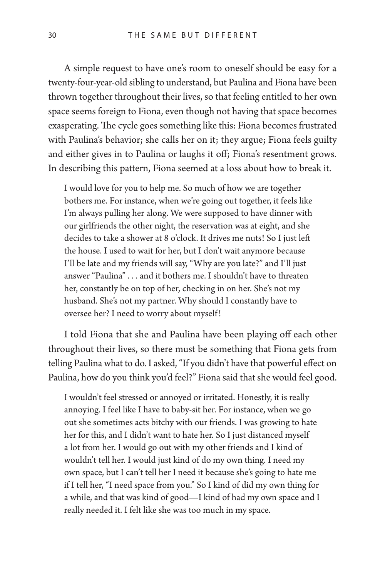A simple request to have one's room to oneself should be easy for a twenty-four-year-old sibling to understand, but Paulina and Fiona have been thrown together throughout their lives, so that feeling entitled to her own space seems foreign to Fiona, even though not having that space becomes exasperating. The cycle goes something like this: Fiona becomes frustrated with Paulina's behavior; she calls her on it; they argue; Fiona feels guilty and either gives in to Paulina or laughs it off; Fiona's resentment grows. In describing this pattern, Fiona seemed at a loss about how to break it.

I would love for you to help me. So much of how we are together bothers me. For instance, when we're going out together, it feels like I'm always pulling her along. We were supposed to have dinner with our girlfriends the other night, the reservation was at eight, and she decides to take a shower at 8 o'clock. It drives me nuts! So I just left the house. I used to wait for her, but I don't wait anymore because I'll be late and my friends will say, "Why are you late?" and I'll just answer "Paulina" . . . and it bothers me. I shouldn't have to threaten her, constantly be on top of her, checking in on her. She's not my husband. She's not my partner. Why should I constantly have to oversee her? I need to worry about myself!

I told Fiona that she and Paulina have been playing off each other throughout their lives, so there must be something that Fiona gets from telling Paulina what to do. I asked, "If you didn't have that powerful effect on Paulina, how do you think you'd feel?" Fiona said that she would feel good.

I wouldn't feel stressed or annoyed or irritated. Honestly, it is really annoying. I feel like I have to baby-sit her. For instance, when we go out she sometimes acts bitchy with our friends. I was growing to hate her for this, and I didn't want to hate her. So I just distanced myself a lot from her. I would go out with my other friends and I kind of wouldn't tell her. I would just kind of do my own thing. I need my own space, but I can't tell her I need it because she's going to hate me if I tell her, "I need space from you." So I kind of did my own thing for a while, and that was kind of good—I kind of had my own space and I really needed it. I felt like she was too much in my space.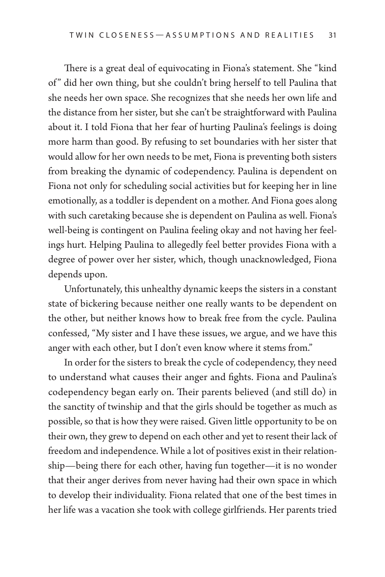There is a great deal of equivocating in Fiona's statement. She "kind of" did her own thing, but she couldn't bring herself to tell Paulina that she needs her own space. She recognizes that she needs her own life and the distance from her sister, but she can't be straightforward with Paulina about it. I told Fiona that her fear of hurting Paulina's feelings is doing more harm than good. By refusing to set boundaries with her sister that would allow for her own needs to be met, Fiona is preventing both sisters from breaking the dynamic of codependency. Paulina is dependent on Fiona not only for scheduling social activities but for keeping her in line emotionally, as a toddler is dependent on a mother. And Fiona goes along with such caretaking because she is dependent on Paulina as well. Fiona's well-being is contingent on Paulina feeling okay and not having her feelings hurt. Helping Paulina to allegedly feel better provides Fiona with a degree of power over her sister, which, though unacknowledged, Fiona depends upon.

Unfortunately, this unhealthy dynamic keeps the sisters in a constant state of bickering because neither one really wants to be dependent on the other, but neither knows how to break free from the cycle. Paulina confessed, "My sister and I have these issues, we argue, and we have this anger with each other, but I don't even know where it stems from."

In order for the sisters to break the cycle of codependency, they need to understand what causes their anger and fights. Fiona and Paulina's codependency began early on. Their parents believed (and still do) in the sanctity of twinship and that the girls should be together as much as possible, so that is how they were raised. Given little opportunity to be on their own, they grew to depend on each other and yet to resent their lack of freedom and independence. While a lot of positives exist in their relationship—being there for each other, having fun together—it is no wonder that their anger derives from never having had their own space in which to develop their individuality. Fiona related that one of the best times in her life was a vacation she took with college girlfriends. Her parents tried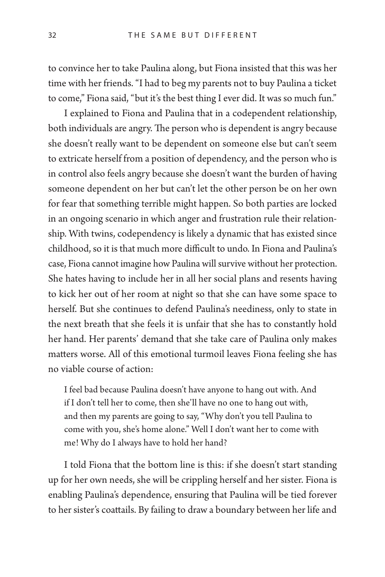to convince her to take Paulina along, but Fiona insisted that this was her time with her friends. "I had to beg my parents not to buy Paulina a ticket to come," Fiona said, "but it's the best thing I ever did. It was so much fun."

I explained to Fiona and Paulina that in a codependent relationship, both individuals are angry. The person who is dependent is angry because she doesn't really want to be dependent on someone else but can't seem to extricate herself from a position of dependency, and the person who is in control also feels angry because she doesn't want the burden of having someone dependent on her but can't let the other person be on her own for fear that something terrible might happen. So both parties are locked in an ongoing scenario in which anger and frustration rule their relationship. With twins, codependency is likely a dynamic that has existed since childhood, so it is that much more difficult to undo. In Fiona and Paulina's case, Fiona cannot imagine how Paulina will survive without her protection. She hates having to include her in all her social plans and resents having to kick her out of her room at night so that she can have some space to herself. But she continues to defend Paulina's neediness, only to state in the next breath that she feels it is unfair that she has to constantly hold her hand. Her parents' demand that she take care of Paulina only makes matters worse. All of this emotional turmoil leaves Fiona feeling she has no viable course of action:

I feel bad because Paulina doesn't have anyone to hang out with. And if I don't tell her to come, then she'll have no one to hang out with, and then my parents are going to say, "Why don't you tell Paulina to come with you, she's home alone." Well I don't want her to come with me! Why do I always have to hold her hand?

I told Fiona that the bottom line is this: if she doesn't start standing up for her own needs, she will be crippling herself and her sister. Fiona is enabling Paulina's dependence, ensuring that Paulina will be tied forever to her sister's coattails. By failing to draw a boundary between her life and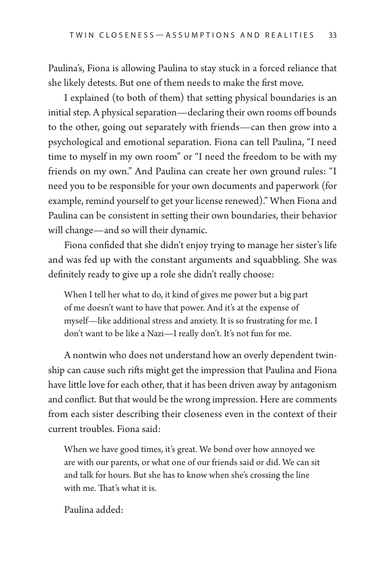Paulina's, Fiona is allowing Paulina to stay stuck in a forced reliance that she likely detests. But one of them needs to make the first move.

I explained (to both of them) that setting physical boundaries is an initial step. A physical separation—declaring their own rooms off bounds to the other, going out separately with friends—can then grow into a psychological and emotional separation. Fiona can tell Paulina, "I need time to myself in my own room" or "I need the freedom to be with my friends on my own." And Paulina can create her own ground rules: "I need you to be responsible for your own documents and paperwork (for example, remind yourself to get your license renewed)." When Fiona and Paulina can be consistent in setting their own boundaries, their behavior will change—and so will their dynamic.

Fiona confided that she didn't enjoy trying to manage her sister's life and was fed up with the constant arguments and squabbling. She was definitely ready to give up a role she didn't really choose:

When I tell her what to do, it kind of gives me power but a big part of me doesn't want to have that power. And it's at the expense of myself—like additional stress and anxiety. It is so frustrating for me. I don't want to be like a Nazi—I really don't. It's not fun for me.

A nontwin who does not understand how an overly dependent twinship can cause such rifts might get the impression that Paulina and Fiona have little love for each other, that it has been driven away by antagonism and conflict. But that would be the wrong impression. Here are comments from each sister describing their closeness even in the context of their current troubles. Fiona said:

When we have good times, it's great. We bond over how annoyed we are with our parents, or what one of our friends said or did. We can sit and talk for hours. But she has to know when she's crossing the line with me. That's what it is.

Paulina added: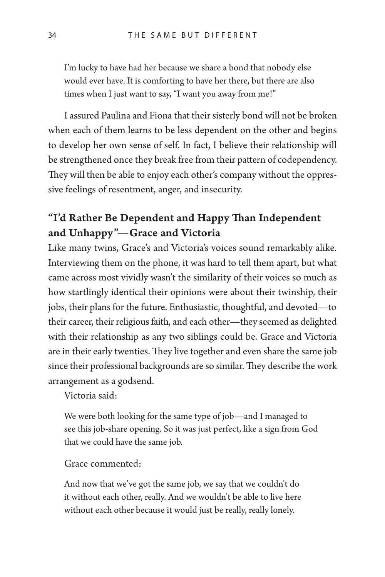I'm lucky to have had her because we share a bond that nobody else would ever have. It is comforting to have her there, but there are also times when I just want to say, "I want you away from me!"

I assured Paulina and Fiona that their sisterly bond will not be broken when each of them learns to be less dependent on the other and begins to develop her own sense of self. In fact, I believe their relationship will be strengthened once they break free from their pattern of codependency. They will then be able to enjoy each other's company without the oppressive feelings of resentment, anger, and insecurity.

# "I'd Rather Be Dependent and Happy Than Independent and Unhappy"—Grace and Victoria

Like many twins, Grace's and Victoria's voices sound remarkably alike. Interviewing them on the phone, it was hard to tell them apart, but what came across most vividly wasn't the similarity of their voices so much as how startlingly identical their opinions were about their twinship, their jobs, their plans for the future. Enthusiastic, thoughtful, and devoted—to their career, their religious faith, and each other—they seemed as delighted with their relationship as any two siblings could be. Grace and Victoria are in their early twenties. They live together and even share the same job since their professional backgrounds are so similar. They describe the work arrangement as a godsend.

Victoria said:

We were both looking for the same type of job—and I managed to see this job-share opening. So it was just perfect, like a sign from God that we could have the same job.

#### Grace commented:

And now that we've got the same job, we say that we couldn't do it without each other, really. And we wouldn't be able to live here without each other because it would just be really, really lonely.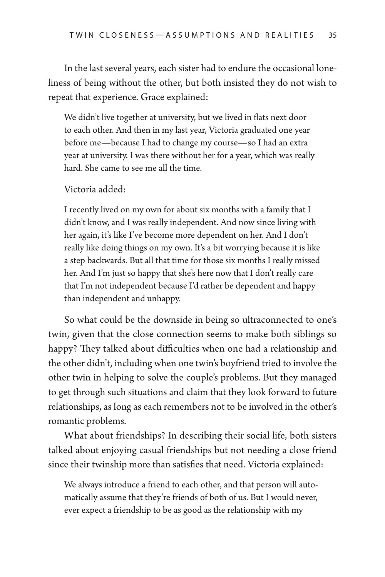In the last several years, each sister had to endure the occasional loneliness of being without the other, but both insisted they do not wish to repeat that experience. Grace explained:

We didn't live together at university, but we lived in flats next door to each other. And then in my last year, Victoria graduated one year before me—because I had to change my course—so I had an extra year at university. I was there without her for a year, which was really hard. She came to see me all the time.

#### Victoria added:

I recently lived on my own for about six months with a family that I didn't know, and I was really independent. And now since living with her again, it's like I've become more dependent on her. And I don't really like doing things on my own. It's a bit worrying because it is like a step backwards. But all that time for those six months I really missed her. And I'm just so happy that she's here now that I don't really care that I'm not independent because I'd rather be dependent and happy than independent and unhappy.

So what could be the downside in being so ultraconnected to one's twin, given that the close connection seems to make both siblings so happy? They talked about difficulties when one had a relationship and the other didn't, including when one twin's boyfriend tried to involve the other twin in helping to solve the couple's problems. But they managed to get through such situations and claim that they look forward to future relationships, as long as each remembers not to be involved in the other's romantic problems.

What about friendships? In describing their social life, both sisters talked about enjoying casual friendships but not needing a close friend since their twinship more than satisfies that need. Victoria explained:

We always introduce a friend to each other, and that person will automatically assume that they're friends of both of us. But I would never, ever expect a friendship to be as good as the relationship with my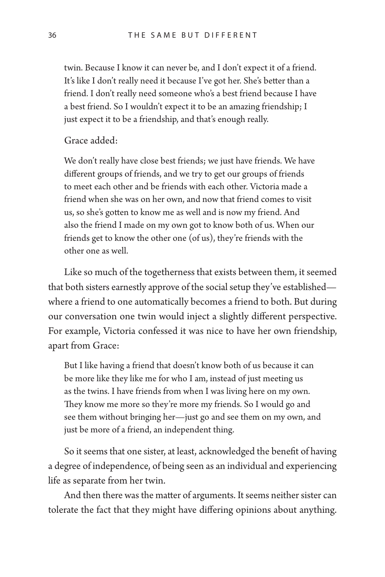twin. Because I know it can never be, and I don't expect it of a friend. It's like I don't really need it because I've got her. She's better than a friend. I don't really need someone who's a best friend because I have a best friend. So I wouldn't expect it to be an amazing friendship; I just expect it to be a friendship, and that's enough really.

#### Grace added:

We don't really have close best friends; we just have friends. We have different groups of friends, and we try to get our groups of friends to meet each other and be friends with each other. Victoria made a friend when she was on her own, and now that friend comes to visit us, so she's gotten to know me as well and is now my friend. And also the friend I made on my own got to know both of us. When our friends get to know the other one (of us), they're friends with the other one as well.

Like so much of the togetherness that exists between them, it seemed that both sisters earnestly approve of the social setup they've established where a friend to one automatically becomes a friend to both. But during our conversation one twin would inject a slightly different perspective. For example, Victoria confessed it was nice to have her own friendship, apart from Grace:

But I like having a friend that doesn't know both of us because it can be more like they like me for who I am, instead of just meeting us as the twins. I have friends from when I was living here on my own. They know me more so they're more my friends. So I would go and see them without bringing her—just go and see them on my own, and just be more of a friend, an independent thing.

So it seems that one sister, at least, acknowledged the benefit of having a degree of independence, of being seen as an individual and experiencing life as separate from her twin.

And then there was the matter of arguments. It seems neither sister can tolerate the fact that they might have differing opinions about anything.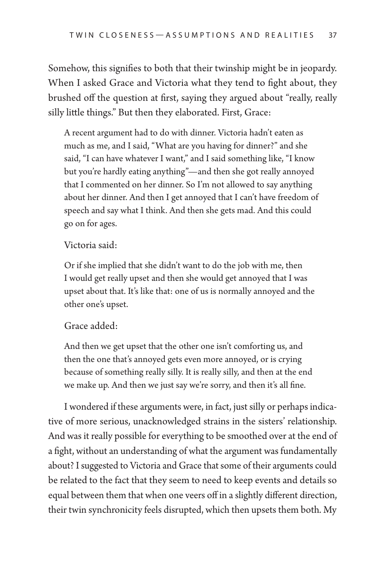Somehow, this signifies to both that their twinship might be in jeopardy. When I asked Grace and Victoria what they tend to fight about, they brushed off the question at first, saying they argued about "really, really silly little things." But then they elaborated. First, Grace:

A recent argument had to do with dinner. Victoria hadn't eaten as much as me, and I said, "What are you having for dinner?" and she said, "I can have whatever I want," and I said something like, "I know but you're hardly eating anything"—and then she got really annoyed that I commented on her dinner. So I'm not allowed to say anything about her dinner. And then I get annoyed that I can't have freedom of speech and say what I think. And then she gets mad. And this could go on for ages.

#### Victoria said:

Or if she implied that she didn't want to do the job with me, then I would get really upset and then she would get annoyed that I was upset about that. It's like that: one of us is normally annoyed and the other one's upset.

#### Grace added:

And then we get upset that the other one isn't comforting us, and then the one that's annoyed gets even more annoyed, or is crying because of something really silly. It is really silly, and then at the end we make up. And then we just say we're sorry, and then it's all fine.

I wondered if these arguments were, in fact, just silly or perhaps indicative of more serious, unacknowledged strains in the sisters' relationship. And was it really possible for everything to be smoothed over at the end of a fight, without an understanding of what the argument was fundamentally about? I suggested to Victoria and Grace that some of their arguments could be related to the fact that they seem to need to keep events and details so equal between them that when one veers off in a slightly different direction, their twin synchronicity feels disrupted, which then upsets them both. My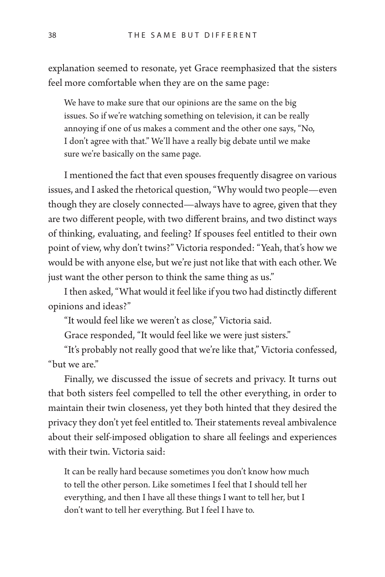explanation seemed to resonate, yet Grace reemphasized that the sisters feel more comfortable when they are on the same page:

We have to make sure that our opinions are the same on the big issues. So if we're watching something on television, it can be really annoying if one of us makes a comment and the other one says, "No, I don't agree with that." We'll have a really big debate until we make sure we're basically on the same page.

I mentioned the fact that even spouses frequently disagree on various issues, and I asked the rhetorical question, "Why would two people—even though they are closely connected—always have to agree, given that they are two different people, with two different brains, and two distinct ways of thinking, evaluating, and feeling? If spouses feel entitled to their own point of view, why don't twins?" Victoria responded: "Yeah, that's how we would be with anyone else, but we're just not like that with each other. We just want the other person to think the same thing as us."

I then asked, "What would it feel like if you two had distinctly different opinions and ideas?"

"It would feel like we weren't as close," Victoria said.

Grace responded, "It would feel like we were just sisters."

"It's probably not really good that we're like that," Victoria confessed, "but we are."

Finally, we discussed the issue of secrets and privacy. It turns out that both sisters feel compelled to tell the other everything, in order to maintain their twin closeness, yet they both hinted that they desired the privacy they don't yet feel entitled to. Their statements reveal ambivalence about their self-imposed obligation to share all feelings and experiences with their twin. Victoria said:

It can be really hard because sometimes you don't know how much to tell the other person. Like sometimes I feel that I should tell her everything, and then I have all these things I want to tell her, but I don't want to tell her everything. But I feel I have to.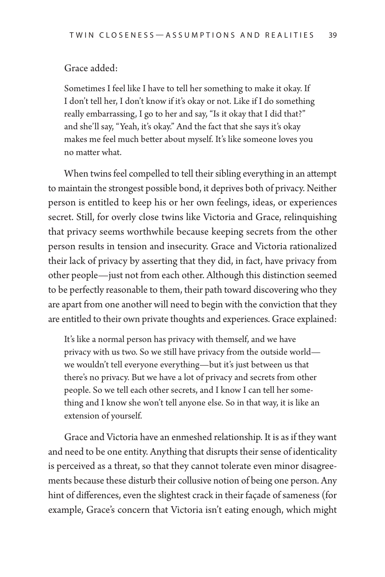#### Grace added:

Sometimes I feel like I have to tell her something to make it okay. If I don't tell her, I don't know if it's okay or not. Like if I do something really embarrassing, I go to her and say, "Is it okay that I did that?" and she'll say, "Yeah, it's okay." And the fact that she says it's okay makes me feel much better about myself. It's like someone loves you no matter what.

When twins feel compelled to tell their sibling everything in an attempt to maintain the strongest possible bond, it deprives both of privacy. Neither person is entitled to keep his or her own feelings, ideas, or experiences secret. Still, for overly close twins like Victoria and Grace, relinquishing that privacy seems worthwhile because keeping secrets from the other person results in tension and insecurity. Grace and Victoria rationalized their lack of privacy by asserting that they did, in fact, have privacy from other people—just not from each other. Although this distinction seemed to be perfectly reasonable to them, their path toward discovering who they are apart from one another will need to begin with the conviction that they are entitled to their own private thoughts and experiences. Grace explained:

It's like a normal person has privacy with themself, and we have privacy with us two. So we still have privacy from the outside world we wouldn't tell everyone everything—but it's just between us that there's no privacy. But we have a lot of privacy and secrets from other people. So we tell each other secrets, and I know I can tell her something and I know she won't tell anyone else. So in that way, it is like an extension of yourself.

Grace and Victoria have an enmeshed relationship. It is as if they want and need to be one entity. Anything that disrupts their sense of identicality is perceived as a threat, so that they cannot tolerate even minor disagreements because these disturb their collusive notion of being one person. Any hint of differences, even the slightest crack in their façade of sameness (for example, Grace's concern that Victoria isn't eating enough, which might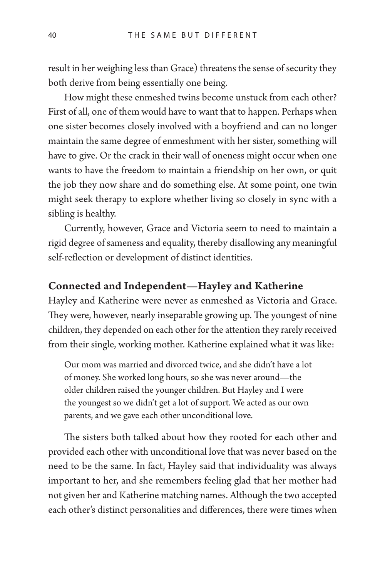result in her weighing less than Grace) threatens the sense of security they both derive from being essentially one being.

How might these enmeshed twins become unstuck from each other? First of all, one of them would have to want that to happen. Perhaps when one sister becomes closely involved with a boyfriend and can no longer maintain the same degree of enmeshment with her sister, something will have to give. Or the crack in their wall of oneness might occur when one wants to have the freedom to maintain a friendship on her own, or quit the job they now share and do something else. At some point, one twin might seek therapy to explore whether living so closely in sync with a sibling is healthy.

Currently, however, Grace and Victoria seem to need to maintain a rigid degree of sameness and equality, thereby disallowing any meaningful self-reflection or development of distinct identities.

# Connected and Independent—Hayley and Katherine

Hayley and Katherine were never as enmeshed as Victoria and Grace. They were, however, nearly inseparable growing up. The youngest of nine children, they depended on each other for the attention they rarely received from their single, working mother. Katherine explained what it was like:

Our mom was married and divorced twice, and she didn't have a lot of money. She worked long hours, so she was never around—the older children raised the younger children. But Hayley and I were the youngest so we didn't get a lot of support. We acted as our own parents, and we gave each other unconditional love.

The sisters both talked about how they rooted for each other and provided each other with unconditional love that was never based on the need to be the same. In fact, Hayley said that individuality was always important to her, and she remembers feeling glad that her mother had not given her and Katherine matching names. Although the two accepted each other's distinct personalities and differences, there were times when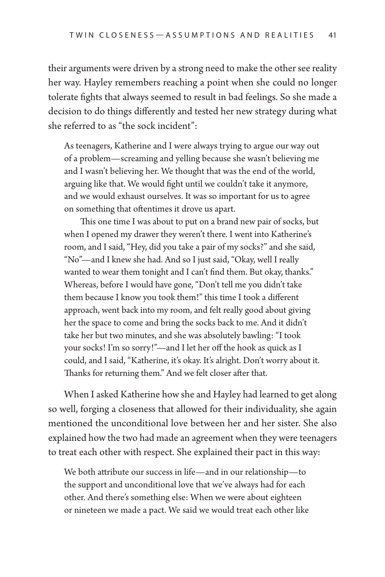their arguments were driven by a strong need to make the other see reality her way. Hayley remembers reaching a point when she could no longer tolerate fights that always seemed to result in bad feelings. So she made a decision to do things differently and tested her new strategy during what she referred to as "the sock incident":

As teenagers, Katherine and I were always trying to argue our way out of a problem—screaming and yelling because she wasn't believing me and I wasn't believing her. We thought that was the end of the world, arguing like that. We would fight until we couldn't take it anymore, and we would exhaust ourselves. It was so important for us to agree on something that oftentimes it drove us apart.

This one time I was about to put on a brand new pair of socks, but when I opened my drawer they weren't there. I went into Katherine's room, and I said, "Hey, did you take a pair of my socks?" and she said, "No"—and I knew she had. And so I just said, "Okay, well I really wanted to wear them tonight and I can't find them. But okay, thanks." Whereas, before I would have gone, "Don't tell me you didn't take them because I know you took them!" this time I took a different approach, went back into my room, and felt really good about giving her the space to come and bring the socks back to me. And it didn't take her but two minutes, and she was absolutely bawling: "I took your socks! I'm so sorry!"—and I let her off the hook as quick as I could, and I said, "Katherine, it's okay. It's alright. Don't worry about it. Thanks for returning them." And we felt closer after that.

When I asked Katherine how she and Hayley had learned to get along so well, forging a closeness that allowed for their individuality, she again mentioned the unconditional love between her and her sister. She also explained how the two had made an agreement when they were teenagers to treat each other with respect. She explained their pact in this way:

We both attribute our success in life—and in our relationship—to the support and unconditional love that we've always had for each other. And there's something else: When we were about eighteen or nineteen we made a pact. We said we would treat each other like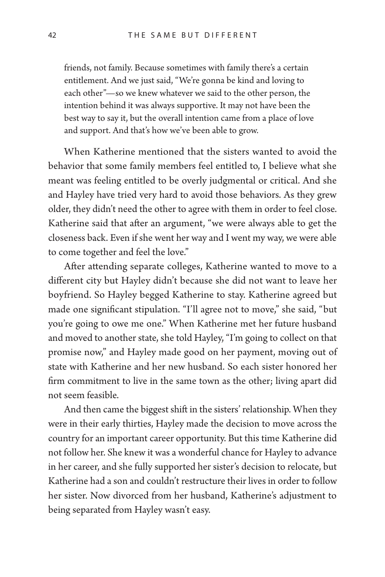friends, not family. Because sometimes with family there's a certain entitlement. And we just said, "We're gonna be kind and loving to each other"—so we knew whatever we said to the other person, the intention behind it was always supportive. It may not have been the best way to say it, but the overall intention came from a place of love and support. And that's how we've been able to grow.

When Katherine mentioned that the sisters wanted to avoid the behavior that some family members feel entitled to, I believe what she meant was feeling entitled to be overly judgmental or critical. And she and Hayley have tried very hard to avoid those behaviors. As they grew older, they didn't need the other to agree with them in order to feel close. Katherine said that after an argument, "we were always able to get the closeness back. Even if she went her way and I went my way, we were able to come together and feel the love."

After attending separate colleges, Katherine wanted to move to a different city but Hayley didn't because she did not want to leave her boyfriend. So Hayley begged Katherine to stay. Katherine agreed but made one significant stipulation. "I'll agree not to move," she said, "but you're going to owe me one." When Katherine met her future husband and moved to another state, she told Hayley, "I'm going to collect on that promise now," and Hayley made good on her payment, moving out of state with Katherine and her new husband. So each sister honored her firm commitment to live in the same town as the other; living apart did not seem feasible.

And then came the biggest shift in the sisters' relationship. When they were in their early thirties, Hayley made the decision to move across the country for an important career opportunity. But this time Katherine did not follow her. She knew it was a wonderful chance for Hayley to advance in her career, and she fully supported her sister's decision to relocate, but Katherine had a son and couldn't restructure their lives in order to follow her sister. Now divorced from her husband, Katherine's adjustment to being separated from Hayley wasn't easy.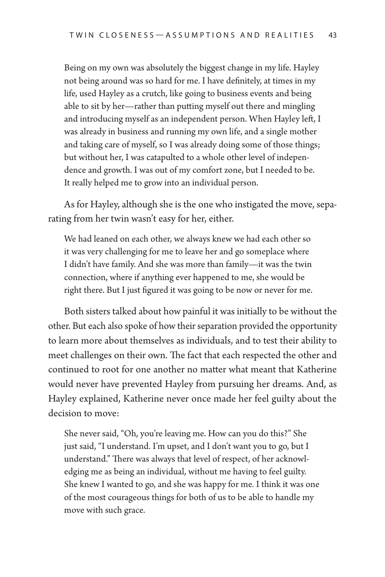Being on my own was absolutely the biggest change in my life. Hayley not being around was so hard for me. I have definitely, at times in my life, used Hayley as a crutch, like going to business events and being able to sit by her—rather than putting myself out there and mingling and introducing myself as an independent person. When Hayley left, I was already in business and running my own life, and a single mother and taking care of myself, so I was already doing some of those things; but without her, I was catapulted to a whole other level of independence and growth. I was out of my comfort zone, but I needed to be. It really helped me to grow into an individual person.

As for Hayley, although she is the one who instigated the move, separating from her twin wasn't easy for her, either.

We had leaned on each other, we always knew we had each other so it was very challenging for me to leave her and go someplace where I didn't have family. And she was more than family—it was the twin connection, where if anything ever happened to me, she would be right there. But I just figured it was going to be now or never for me.

Both sisters talked about how painful it was initially to be without the other. But each also spoke of how their separation provided the opportunity to learn more about themselves as individuals, and to test their ability to meet challenges on their own. The fact that each respected the other and continued to root for one another no matter what meant that Katherine would never have prevented Hayley from pursuing her dreams. And, as Hayley explained, Katherine never once made her feel guilty about the decision to move:

She never said, "Oh, you're leaving me. How can you do this?" She just said, "I understand. I'm upset, and I don't want you to go, but I understand." There was always that level of respect, of her acknowledging me as being an individual, without me having to feel guilty. She knew I wanted to go, and she was happy for me. I think it was one of the most courageous things for both of us to be able to handle my move with such grace.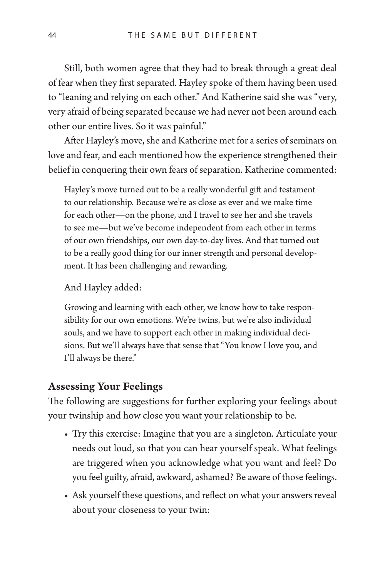Still, both women agree that they had to break through a great deal of fear when they first separated. Hayley spoke of them having been used to "leaning and relying on each other." And Katherine said she was "very, very afraid of being separated because we had never not been around each other our entire lives. So it was painful."

After Hayley's move, she and Katherine met for a series of seminars on love and fear, and each mentioned how the experience strengthened their belief in conquering their own fears of separation. Katherine commented:

Hayley's move turned out to be a really wonderful gift and testament to our relationship. Because we're as close as ever and we make time for each other—on the phone, and I travel to see her and she travels to see me—but we've become independent from each other in terms of our own friendships, our own day-to-day lives. And that turned out to be a really good thing for our inner strength and personal development. It has been challenging and rewarding.

And Hayley added:

Growing and learning with each other, we know how to take responsibility for our own emotions. We're twins, but we're also individual souls, and we have to support each other in making individual decisions. But we'll always have that sense that "You know I love you, and I'll always be there."

### Assessing Your Feelings

The following are suggestions for further exploring your feelings about your twinship and how close you want your relationship to be.

- Try this exercise: Imagine that you are a singleton. Articulate your needs out loud, so that you can hear yourself speak. What feelings are triggered when you acknowledge what you want and feel? Do you feel guilty, afraid, awkward, ashamed? Be aware of those feelings.
- Ask yourself these questions, and reflect on what your answers reveal about your closeness to your twin: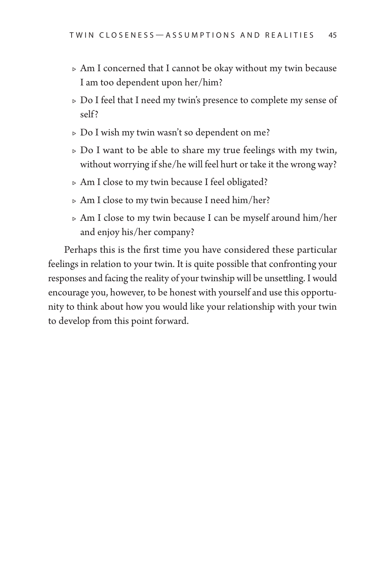- $\triangleright$  Am I concerned that I cannot be okay without my twin because I am too dependent upon her/him?
- $\triangleright$  Do I feel that I need my twin's presence to complete my sense of self?
- $\triangleright$  Do I wish my twin wasn't so dependent on me?
- $\triangleright$  Do I want to be able to share my true feelings with my twin, without worrying if she/he will feel hurt or take it the wrong way?
- $\triangleright$  Am I close to my twin because I feel obligated?
- $\triangleright$  Am I close to my twin because I need him/her?
- $\triangleright$  Am I close to my twin because I can be myself around him/her and enjoy his/her company?

Perhaps this is the first time you have considered these particular feelings in relation to your twin. It is quite possible that confronting your responses and facing the reality of your twinship will be unsettling. I would encourage you, however, to be honest with yourself and use this opportunity to think about how you would like your relationship with your twin to develop from this point forward.